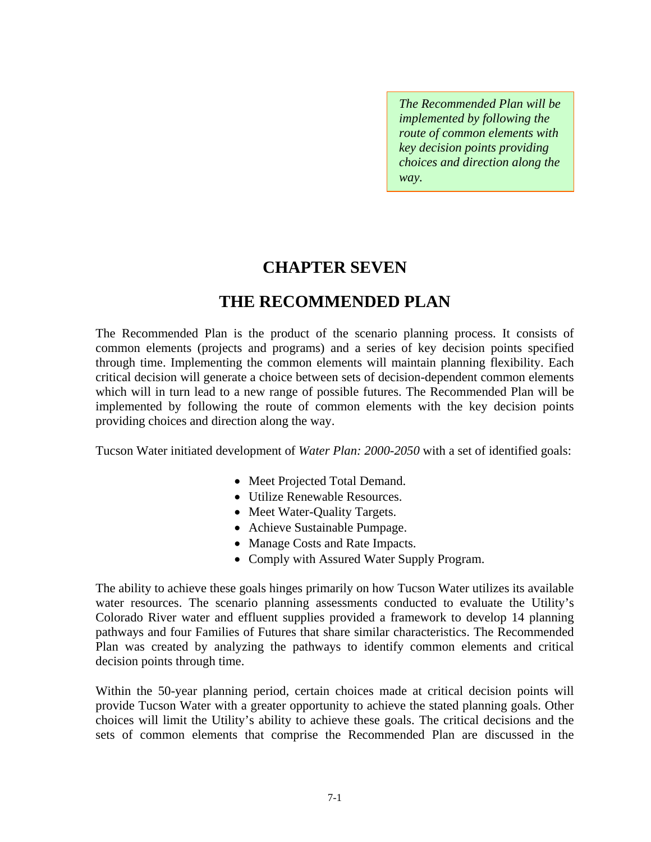*The Recommended Plan will be implemented by following the route of common elements with key decision points providing choices and direction along the way.* 

# **CHAPTER SEVEN**

# **THE RECOMMENDED PLAN**

The Recommended Plan is the product of the scenario planning process. It consists of common elements (projects and programs) and a series of key decision points specified through time. Implementing the common elements will maintain planning flexibility. Each critical decision will generate a choice between sets of decision-dependent common elements which will in turn lead to a new range of possible futures. The Recommended Plan will be implemented by following the route of common elements with the key decision points providing choices and direction along the way.

Tucson Water initiated development of *Water Plan: 2000-2050* with a set of identified goals:

- Meet Projected Total Demand.
- Utilize Renewable Resources.
- Meet Water-Quality Targets.
- Achieve Sustainable Pumpage.
- Manage Costs and Rate Impacts.
- Comply with Assured Water Supply Program.

The ability to achieve these goals hinges primarily on how Tucson Water utilizes its available water resources. The scenario planning assessments conducted to evaluate the Utility's Colorado River water and effluent supplies provided a framework to develop 14 planning pathways and four Families of Futures that share similar characteristics. The Recommended Plan was created by analyzing the pathways to identify common elements and critical decision points through time.

Within the 50-year planning period, certain choices made at critical decision points will provide Tucson Water with a greater opportunity to achieve the stated planning goals. Other choices will limit the Utility's ability to achieve these goals. The critical decisions and the sets of common elements that comprise the Recommended Plan are discussed in the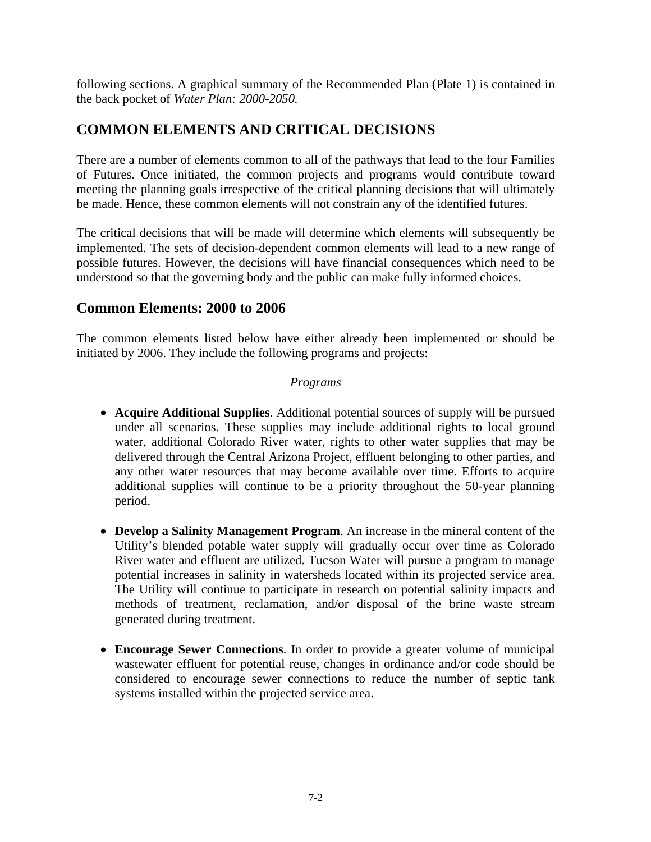following sections. A graphical summary of the Recommended Plan (Plate 1) is contained in the back pocket of *Water Plan: 2000-2050.*

## **COMMON ELEMENTS AND CRITICAL DECISIONS**

There are a number of elements common to all of the pathways that lead to the four Families of Futures. Once initiated, the common projects and programs would contribute toward meeting the planning goals irrespective of the critical planning decisions that will ultimately be made. Hence, these common elements will not constrain any of the identified futures.

The critical decisions that will be made will determine which elements will subsequently be implemented. The sets of decision-dependent common elements will lead to a new range of possible futures. However, the decisions will have financial consequences which need to be understood so that the governing body and the public can make fully informed choices.

### **Common Elements: 2000 to 2006**

The common elements listed below have either already been implemented or should be initiated by 2006. They include the following programs and projects:

#### *Programs*

- **Acquire Additional Supplies**. Additional potential sources of supply will be pursued under all scenarios. These supplies may include additional rights to local ground water, additional Colorado River water, rights to other water supplies that may be delivered through the Central Arizona Project, effluent belonging to other parties, and any other water resources that may become available over time. Efforts to acquire additional supplies will continue to be a priority throughout the 50-year planning period.
- **Develop a Salinity Management Program**. An increase in the mineral content of the Utility's blended potable water supply will gradually occur over time as Colorado River water and effluent are utilized. Tucson Water will pursue a program to manage potential increases in salinity in watersheds located within its projected service area. The Utility will continue to participate in research on potential salinity impacts and methods of treatment, reclamation, and/or disposal of the brine waste stream generated during treatment.
- **Encourage Sewer Connections**. In order to provide a greater volume of municipal wastewater effluent for potential reuse, changes in ordinance and/or code should be considered to encourage sewer connections to reduce the number of septic tank systems installed within the projected service area.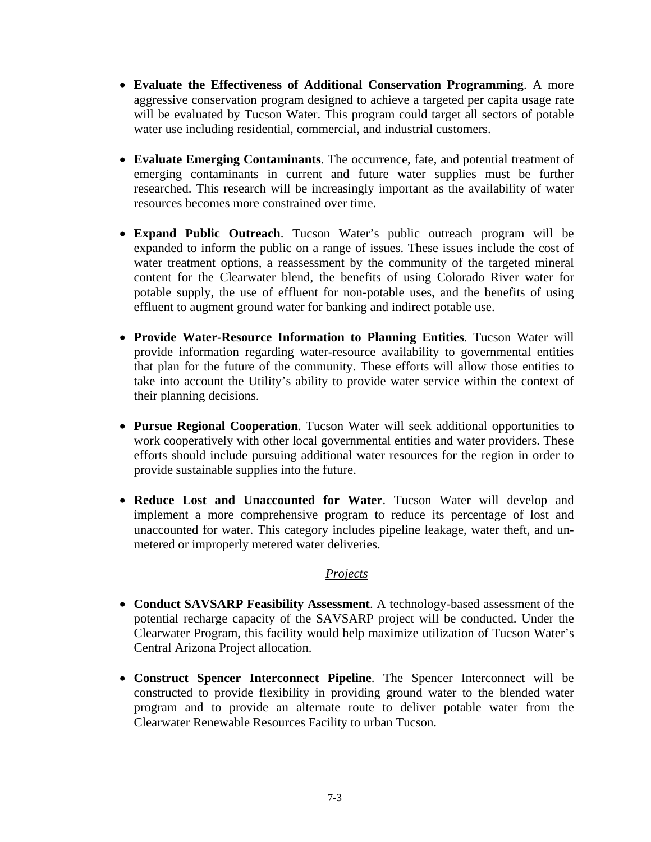- **Evaluate the Effectiveness of Additional Conservation Programming**. A more aggressive conservation program designed to achieve a targeted per capita usage rate will be evaluated by Tucson Water. This program could target all sectors of potable water use including residential, commercial, and industrial customers.
- **Evaluate Emerging Contaminants**. The occurrence, fate, and potential treatment of emerging contaminants in current and future water supplies must be further researched. This research will be increasingly important as the availability of water resources becomes more constrained over time.
- **Expand Public Outreach**. Tucson Water's public outreach program will be expanded to inform the public on a range of issues. These issues include the cost of water treatment options, a reassessment by the community of the targeted mineral content for the Clearwater blend, the benefits of using Colorado River water for potable supply, the use of effluent for non-potable uses, and the benefits of using effluent to augment ground water for banking and indirect potable use.
- **Provide Water-Resource Information to Planning Entities**. Tucson Water will provide information regarding water-resource availability to governmental entities that plan for the future of the community. These efforts will allow those entities to take into account the Utility's ability to provide water service within the context of their planning decisions.
- **Pursue Regional Cooperation**. Tucson Water will seek additional opportunities to work cooperatively with other local governmental entities and water providers. These efforts should include pursuing additional water resources for the region in order to provide sustainable supplies into the future.
- **Reduce Lost and Unaccounted for Water**. Tucson Water will develop and implement a more comprehensive program to reduce its percentage of lost and unaccounted for water. This category includes pipeline leakage, water theft, and unmetered or improperly metered water deliveries.

#### *Projects*

- **Conduct SAVSARP Feasibility Assessment**. A technology-based assessment of the potential recharge capacity of the SAVSARP project will be conducted. Under the Clearwater Program, this facility would help maximize utilization of Tucson Water's Central Arizona Project allocation.
- **Construct Spencer Interconnect Pipeline**. The Spencer Interconnect will be constructed to provide flexibility in providing ground water to the blended water program and to provide an alternate route to deliver potable water from the Clearwater Renewable Resources Facility to urban Tucson.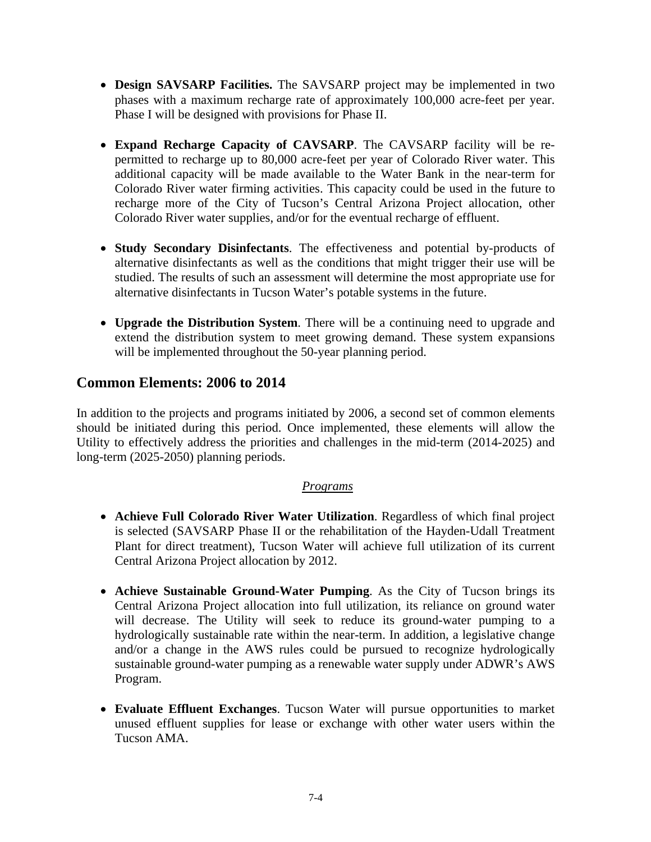- **Design SAVSARP Facilities.** The SAVSARP project may be implemented in two phases with a maximum recharge rate of approximately 100,000 acre-feet per year. Phase I will be designed with provisions for Phase II.
- **Expand Recharge Capacity of CAVSARP**. The CAVSARP facility will be repermitted to recharge up to 80,000 acre-feet per year of Colorado River water. This additional capacity will be made available to the Water Bank in the near-term for Colorado River water firming activities. This capacity could be used in the future to recharge more of the City of Tucson's Central Arizona Project allocation, other Colorado River water supplies, and/or for the eventual recharge of effluent.
- **Study Secondary Disinfectants**. The effectiveness and potential by-products of alternative disinfectants as well as the conditions that might trigger their use will be studied. The results of such an assessment will determine the most appropriate use for alternative disinfectants in Tucson Water's potable systems in the future.
- **Upgrade the Distribution System**. There will be a continuing need to upgrade and extend the distribution system to meet growing demand. These system expansions will be implemented throughout the 50-year planning period.

### **Common Elements: 2006 to 2014**

In addition to the projects and programs initiated by 2006, a second set of common elements should be initiated during this period. Once implemented, these elements will allow the Utility to effectively address the priorities and challenges in the mid-term (2014-2025) and long-term (2025-2050) planning periods.

### *Programs*

- **Achieve Full Colorado River Water Utilization**. Regardless of which final project is selected (SAVSARP Phase II or the rehabilitation of the Hayden-Udall Treatment Plant for direct treatment), Tucson Water will achieve full utilization of its current Central Arizona Project allocation by 2012.
- **Achieve Sustainable Ground-Water Pumping**. As the City of Tucson brings its Central Arizona Project allocation into full utilization, its reliance on ground water will decrease. The Utility will seek to reduce its ground-water pumping to a hydrologically sustainable rate within the near-term. In addition, a legislative change and/or a change in the AWS rules could be pursued to recognize hydrologically sustainable ground-water pumping as a renewable water supply under ADWR's AWS Program.
- **Evaluate Effluent Exchanges**. Tucson Water will pursue opportunities to market unused effluent supplies for lease or exchange with other water users within the Tucson AMA.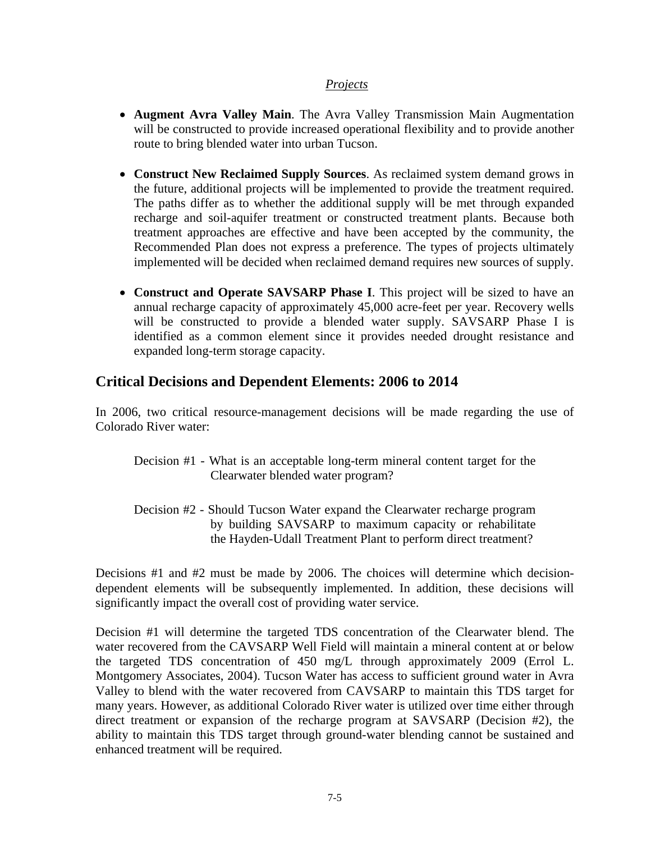#### *Projects*

- **Augment Avra Valley Main**. The Avra Valley Transmission Main Augmentation will be constructed to provide increased operational flexibility and to provide another route to bring blended water into urban Tucson.
- **Construct New Reclaimed Supply Sources**. As reclaimed system demand grows in the future, additional projects will be implemented to provide the treatment required. The paths differ as to whether the additional supply will be met through expanded recharge and soil-aquifer treatment or constructed treatment plants. Because both treatment approaches are effective and have been accepted by the community, the Recommended Plan does not express a preference. The types of projects ultimately implemented will be decided when reclaimed demand requires new sources of supply.
- **Construct and Operate SAVSARP Phase I**. This project will be sized to have an annual recharge capacity of approximately 45,000 acre-feet per year. Recovery wells will be constructed to provide a blended water supply. SAVSARP Phase I is identified as a common element since it provides needed drought resistance and expanded long-term storage capacity.

## **Critical Decisions and Dependent Elements: 2006 to 2014**

In 2006, two critical resource-management decisions will be made regarding the use of Colorado River water:

- Decision #1 What is an acceptable long-term mineral content target for the Clearwater blended water program?
- Decision #2 Should Tucson Water expand the Clearwater recharge program by building SAVSARP to maximum capacity or rehabilitate the Hayden-Udall Treatment Plant to perform direct treatment?

Decisions #1 and #2 must be made by 2006. The choices will determine which decisiondependent elements will be subsequently implemented. In addition, these decisions will significantly impact the overall cost of providing water service.

Decision #1 will determine the targeted TDS concentration of the Clearwater blend. The water recovered from the CAVSARP Well Field will maintain a mineral content at or below the targeted TDS concentration of 450 mg/L through approximately 2009 (Errol L. Montgomery Associates, 2004). Tucson Water has access to sufficient ground water in Avra Valley to blend with the water recovered from CAVSARP to maintain this TDS target for many years. However, as additional Colorado River water is utilized over time either through direct treatment or expansion of the recharge program at SAVSARP (Decision #2), the ability to maintain this TDS target through ground-water blending cannot be sustained and enhanced treatment will be required.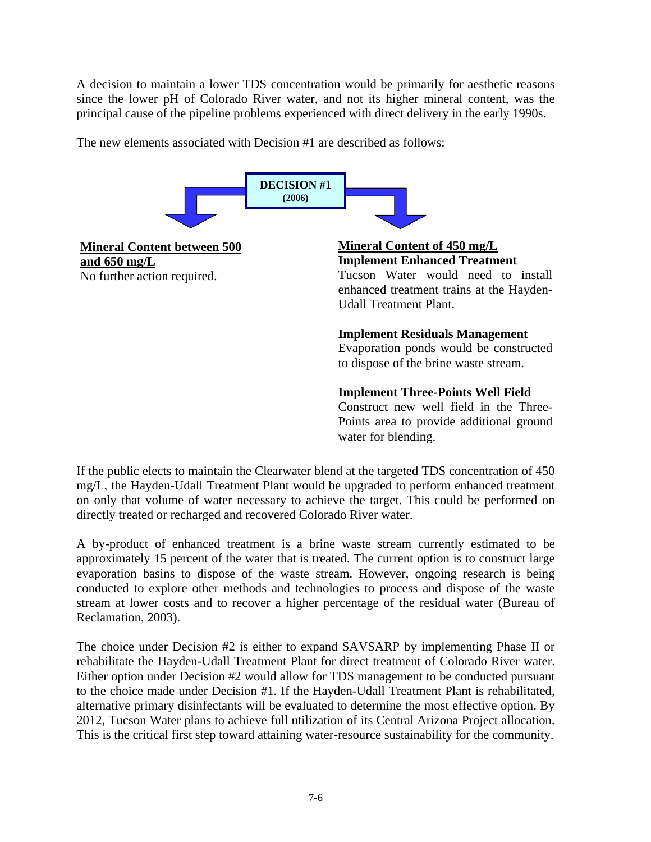A decision to maintain a lower TDS concentration would be primarily for aesthetic reasons since the lower pH of Colorado River water, and not its higher mineral content, was the principal cause of the pipeline problems experienced with direct delivery in the early 1990s.

The new elements associated with Decision #1 are described as follows:



If the public elects to maintain the Clearwater blend at the targeted TDS concentration of 450 mg/L, the Hayden-Udall Treatment Plant would be upgraded to perform enhanced treatment on only that volume of water necessary to achieve the target. This could be performed on directly treated or recharged and recovered Colorado River water.

A by-product of enhanced treatment is a brine waste stream currently estimated to be approximately 15 percent of the water that is treated. The current option is to construct large evaporation basins to dispose of the waste stream. However, ongoing research is being conducted to explore other methods and technologies to process and dispose of the waste stream at lower costs and to recover a higher percentage of the residual water (Bureau of Reclamation, 2003).

The choice under Decision #2 is either to expand SAVSARP by implementing Phase II or rehabilitate the Hayden-Udall Treatment Plant for direct treatment of Colorado River water. Either option under Decision #2 would allow for TDS management to be conducted pursuant to the choice made under Decision #1. If the Hayden-Udall Treatment Plant is rehabilitated, alternative primary disinfectants will be evaluated to determine the most effective option. By 2012, Tucson Water plans to achieve full utilization of its Central Arizona Project allocation. This is the critical first step toward attaining water-resource sustainability for the community.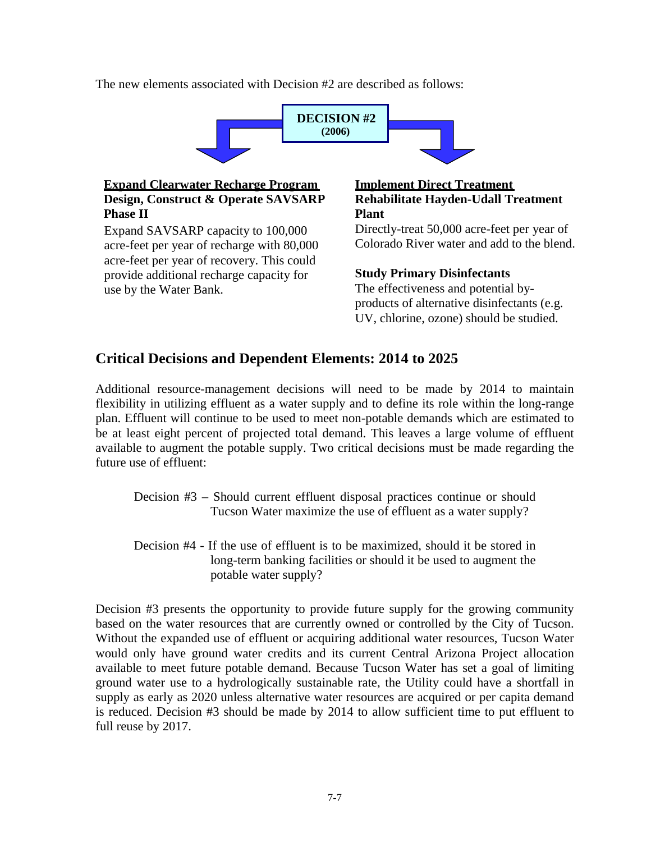The new elements associated with Decision #2 are described as follows:



#### **Expand Clearwater Recharge Program Design, Construct & Operate SAVSARP Phase II**

Expand SAVSARP capacity to 100,000 acre-feet per year of recharge with 80,000 acre-feet per year of recovery. This could provide additional recharge capacity for use by the Water Bank.

### **Implement Direct Treatment Rehabilitate Hayden-Udall Treatment Plant**

Directly-treat 50,000 acre-feet per year of Colorado River water and add to the blend.

### **Study Primary Disinfectants**

The effectiveness and potential byproducts of alternative disinfectants (e.g. UV, chlorine, ozone) should be studied.

## **Critical Decisions and Dependent Elements: 2014 to 2025**

Additional resource-management decisions will need to be made by 2014 to maintain flexibility in utilizing effluent as a water supply and to define its role within the long-range plan. Effluent will continue to be used to meet non-potable demands which are estimated to be at least eight percent of projected total demand. This leaves a large volume of effluent available to augment the potable supply. Two critical decisions must be made regarding the future use of effluent:

- Decision #3 Should current effluent disposal practices continue or should Tucson Water maximize the use of effluent as a water supply?
- Decision #4 If the use of effluent is to be maximized, should it be stored in long-term banking facilities or should it be used to augment the potable water supply?

Decision #3 presents the opportunity to provide future supply for the growing community based on the water resources that are currently owned or controlled by the City of Tucson. Without the expanded use of effluent or acquiring additional water resources, Tucson Water would only have ground water credits and its current Central Arizona Project allocation available to meet future potable demand. Because Tucson Water has set a goal of limiting ground water use to a hydrologically sustainable rate, the Utility could have a shortfall in supply as early as 2020 unless alternative water resources are acquired or per capita demand is reduced. Decision #3 should be made by 2014 to allow sufficient time to put effluent to full reuse by 2017.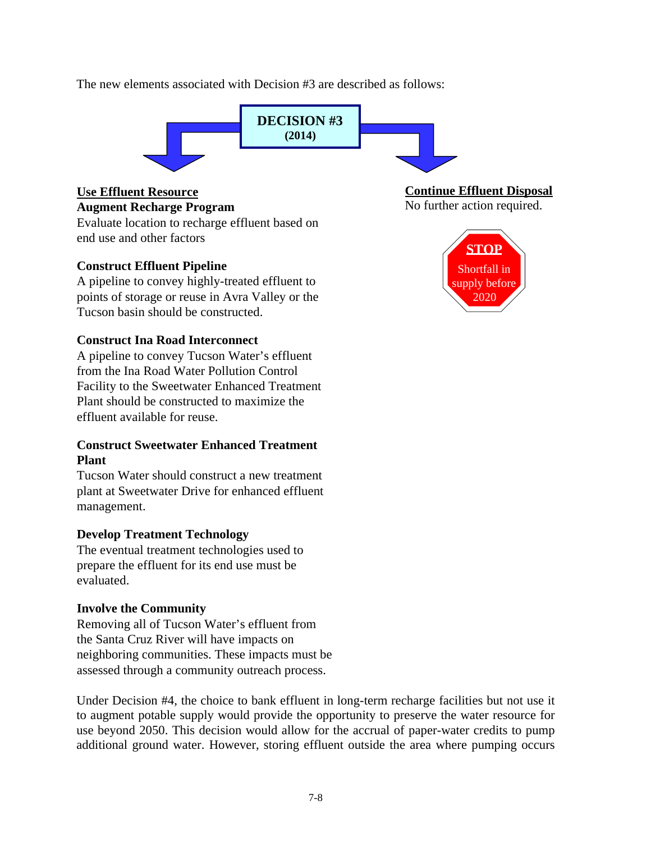The new elements associated with Decision #3 are described as follows:



### **Use Effluent Resource**

**Augment Recharge Program**

Evaluate location to recharge effluent based on end use and other factors

### **Construct Effluent Pipeline**

A pipeline to convey highly-treated effluent to points of storage or reuse in Avra Valley or the Tucson basin should be constructed.

### **Construct Ina Road Interconnect**

A pipeline to convey Tucson Water's effluent from the Ina Road Water Pollution Control Facility to the Sweetwater Enhanced Treatment Plant should be constructed to maximize the effluent available for reuse.

### **Construct Sweetwater Enhanced Treatment Plant**

Tucson Water should construct a new treatment plant at Sweetwater Drive for enhanced effluent management.

### **Develop Treatment Technology**

The eventual treatment technologies used to prepare the effluent for its end use must be evaluated.

### **Involve the Community**

Removing all of Tucson Water's effluent from the Santa Cruz River will have impacts on neighboring communities. These impacts must be assessed through a community outreach process.

Under Decision #4, the choice to bank effluent in long-term recharge facilities but not use it to augment potable supply would provide the opportunity to preserve the water resource for use beyond 2050. This decision would allow for the accrual of paper-water credits to pump additional ground water. However, storing effluent outside the area where pumping occurs

**Continue Effluent Disposal**

No further action required.

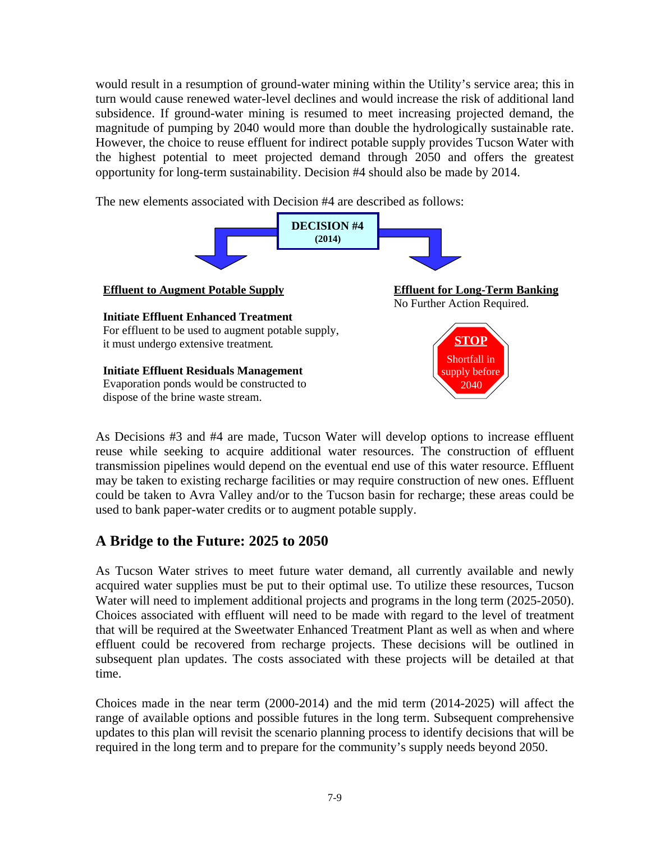would result in a resumption of ground-water mining within the Utility's service area; this in turn would cause renewed water-level declines and would increase the risk of additional land subsidence. If ground-water mining is resumed to meet increasing projected demand, the magnitude of pumping by 2040 would more than double the hydrologically sustainable rate. However, the choice to reuse effluent for indirect potable supply provides Tucson Water with the highest potential to meet projected demand through 2050 and offers the greatest opportunity for long-term sustainability. Decision #4 should also be made by 2014.

The new elements associated with Decision #4 are described as follows:



As Decisions #3 and #4 are made, Tucson Water will develop options to increase effluent reuse while seeking to acquire additional water resources. The construction of effluent transmission pipelines would depend on the eventual end use of this water resource. Effluent may be taken to existing recharge facilities or may require construction of new ones. Effluent could be taken to Avra Valley and/or to the Tucson basin for recharge; these areas could be used to bank paper-water credits or to augment potable supply.

## **A Bridge to the Future: 2025 to 2050**

As Tucson Water strives to meet future water demand, all currently available and newly acquired water supplies must be put to their optimal use. To utilize these resources, Tucson Water will need to implement additional projects and programs in the long term (2025-2050). Choices associated with effluent will need to be made with regard to the level of treatment that will be required at the Sweetwater Enhanced Treatment Plant as well as when and where effluent could be recovered from recharge projects. These decisions will be outlined in subsequent plan updates. The costs associated with these projects will be detailed at that time.

Choices made in the near term (2000-2014) and the mid term (2014-2025) will affect the range of available options and possible futures in the long term. Subsequent comprehensive updates to this plan will revisit the scenario planning process to identify decisions that will be required in the long term and to prepare for the community's supply needs beyond 2050.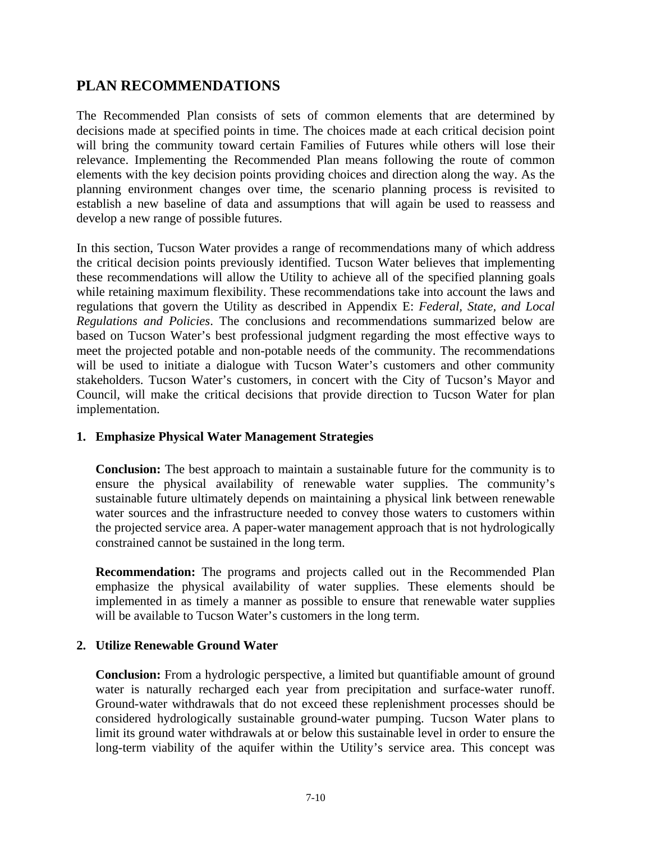## **PLAN RECOMMENDATIONS**

The Recommended Plan consists of sets of common elements that are determined by decisions made at specified points in time. The choices made at each critical decision point will bring the community toward certain Families of Futures while others will lose their relevance. Implementing the Recommended Plan means following the route of common elements with the key decision points providing choices and direction along the way. As the planning environment changes over time, the scenario planning process is revisited to establish a new baseline of data and assumptions that will again be used to reassess and develop a new range of possible futures.

In this section, Tucson Water provides a range of recommendations many of which address the critical decision points previously identified. Tucson Water believes that implementing these recommendations will allow the Utility to achieve all of the specified planning goals while retaining maximum flexibility. These recommendations take into account the laws and regulations that govern the Utility as described in Appendix E: *Federal, State, and Local Regulations and Policies*. The conclusions and recommendations summarized below are based on Tucson Water's best professional judgment regarding the most effective ways to meet the projected potable and non-potable needs of the community. The recommendations will be used to initiate a dialogue with Tucson Water's customers and other community stakeholders. Tucson Water's customers, in concert with the City of Tucson's Mayor and Council, will make the critical decisions that provide direction to Tucson Water for plan implementation.

### **1. Emphasize Physical Water Management Strategies**

**Conclusion:** The best approach to maintain a sustainable future for the community is to ensure the physical availability of renewable water supplies. The community's sustainable future ultimately depends on maintaining a physical link between renewable water sources and the infrastructure needed to convey those waters to customers within the projected service area. A paper-water management approach that is not hydrologically constrained cannot be sustained in the long term.

**Recommendation:** The programs and projects called out in the Recommended Plan emphasize the physical availability of water supplies. These elements should be implemented in as timely a manner as possible to ensure that renewable water supplies will be available to Tucson Water's customers in the long term.

### **2. Utilize Renewable Ground Water**

**Conclusion:** From a hydrologic perspective, a limited but quantifiable amount of ground water is naturally recharged each year from precipitation and surface-water runoff. Ground-water withdrawals that do not exceed these replenishment processes should be considered hydrologically sustainable ground-water pumping. Tucson Water plans to limit its ground water withdrawals at or below this sustainable level in order to ensure the long-term viability of the aquifer within the Utility's service area. This concept was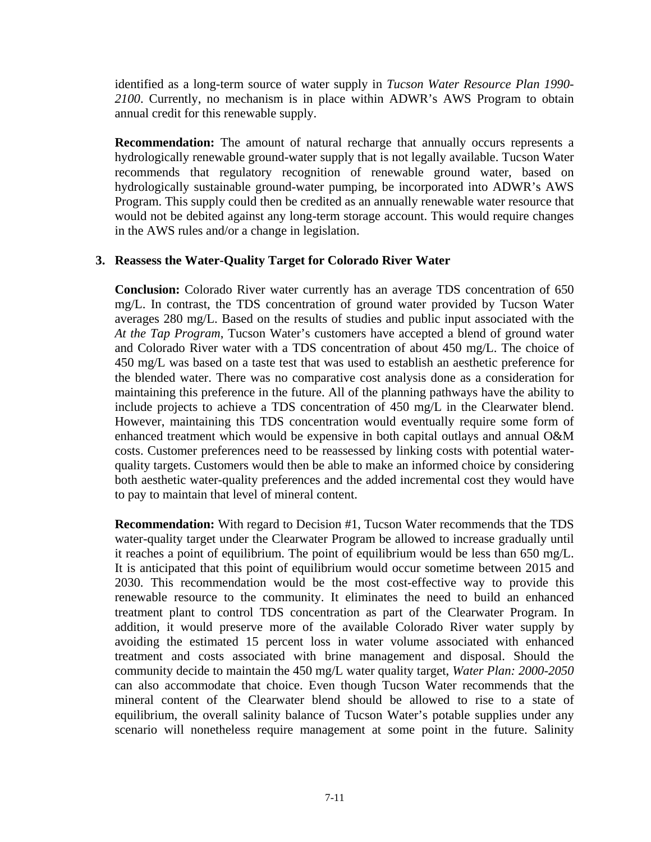identified as a long-term source of water supply in *Tucson Water Resource Plan 1990- 2100*. Currently, no mechanism is in place within ADWR's AWS Program to obtain annual credit for this renewable supply.

**Recommendation:** The amount of natural recharge that annually occurs represents a hydrologically renewable ground-water supply that is not legally available. Tucson Water recommends that regulatory recognition of renewable ground water, based on hydrologically sustainable ground-water pumping, be incorporated into ADWR's AWS Program. This supply could then be credited as an annually renewable water resource that would not be debited against any long-term storage account. This would require changes in the AWS rules and/or a change in legislation.

#### **3. Reassess the Water-Quality Target for Colorado River Water**

**Conclusion:** Colorado River water currently has an average TDS concentration of 650 mg/L. In contrast, the TDS concentration of ground water provided by Tucson Water averages 280 mg/L. Based on the results of studies and public input associated with the *At the Tap Program*, Tucson Water's customers have accepted a blend of ground water and Colorado River water with a TDS concentration of about 450 mg/L. The choice of 450 mg/L was based on a taste test that was used to establish an aesthetic preference for the blended water. There was no comparative cost analysis done as a consideration for maintaining this preference in the future. All of the planning pathways have the ability to include projects to achieve a TDS concentration of 450 mg/L in the Clearwater blend. However, maintaining this TDS concentration would eventually require some form of enhanced treatment which would be expensive in both capital outlays and annual O&M costs. Customer preferences need to be reassessed by linking costs with potential waterquality targets. Customers would then be able to make an informed choice by considering both aesthetic water-quality preferences and the added incremental cost they would have to pay to maintain that level of mineral content.

**Recommendation:** With regard to Decision #1, Tucson Water recommends that the TDS water-quality target under the Clearwater Program be allowed to increase gradually until it reaches a point of equilibrium. The point of equilibrium would be less than 650 mg/L. It is anticipated that this point of equilibrium would occur sometime between 2015 and 2030. This recommendation would be the most cost-effective way to provide this renewable resource to the community. It eliminates the need to build an enhanced treatment plant to control TDS concentration as part of the Clearwater Program. In addition, it would preserve more of the available Colorado River water supply by avoiding the estimated 15 percent loss in water volume associated with enhanced treatment and costs associated with brine management and disposal. Should the community decide to maintain the 450 mg/L water quality target, *Water Plan: 2000-2050* can also accommodate that choice. Even though Tucson Water recommends that the mineral content of the Clearwater blend should be allowed to rise to a state of equilibrium, the overall salinity balance of Tucson Water's potable supplies under any scenario will nonetheless require management at some point in the future. Salinity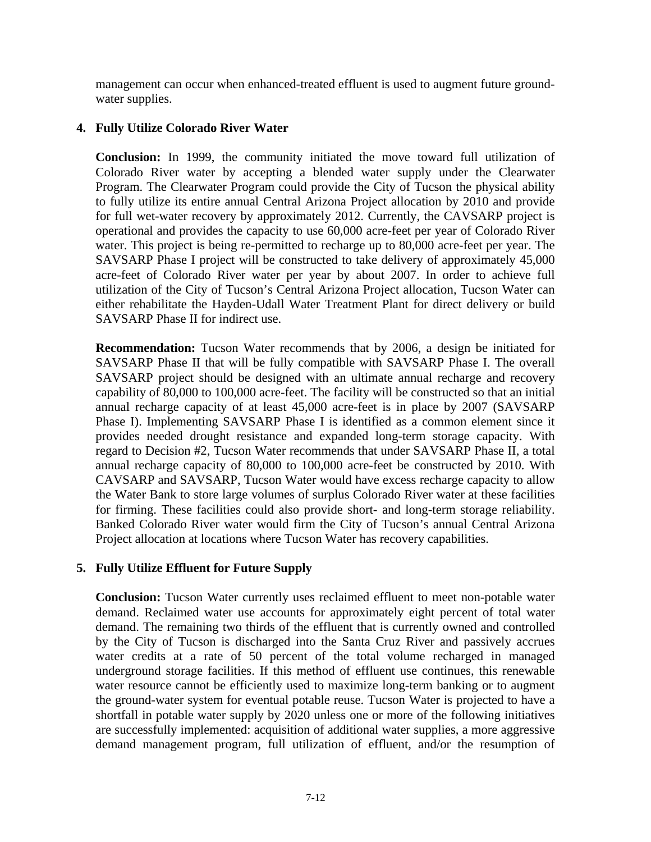management can occur when enhanced-treated effluent is used to augment future groundwater supplies.

### **4. Fully Utilize Colorado River Water**

**Conclusion:** In 1999, the community initiated the move toward full utilization of Colorado River water by accepting a blended water supply under the Clearwater Program. The Clearwater Program could provide the City of Tucson the physical ability to fully utilize its entire annual Central Arizona Project allocation by 2010 and provide for full wet-water recovery by approximately 2012. Currently, the CAVSARP project is operational and provides the capacity to use 60,000 acre-feet per year of Colorado River water. This project is being re-permitted to recharge up to 80,000 acre-feet per year. The SAVSARP Phase I project will be constructed to take delivery of approximately 45,000 acre-feet of Colorado River water per year by about 2007. In order to achieve full utilization of the City of Tucson's Central Arizona Project allocation, Tucson Water can either rehabilitate the Hayden-Udall Water Treatment Plant for direct delivery or build SAVSARP Phase II for indirect use.

**Recommendation:** Tucson Water recommends that by 2006, a design be initiated for SAVSARP Phase II that will be fully compatible with SAVSARP Phase I. The overall SAVSARP project should be designed with an ultimate annual recharge and recovery capability of 80,000 to 100,000 acre-feet. The facility will be constructed so that an initial annual recharge capacity of at least 45,000 acre-feet is in place by 2007 (SAVSARP Phase I). Implementing SAVSARP Phase I is identified as a common element since it provides needed drought resistance and expanded long-term storage capacity. With regard to Decision #2, Tucson Water recommends that under SAVSARP Phase II, a total annual recharge capacity of 80,000 to 100,000 acre-feet be constructed by 2010. With CAVSARP and SAVSARP, Tucson Water would have excess recharge capacity to allow the Water Bank to store large volumes of surplus Colorado River water at these facilities for firming. These facilities could also provide short- and long-term storage reliability. Banked Colorado River water would firm the City of Tucson's annual Central Arizona Project allocation at locations where Tucson Water has recovery capabilities.

### **5. Fully Utilize Effluent for Future Supply**

**Conclusion:** Tucson Water currently uses reclaimed effluent to meet non-potable water demand. Reclaimed water use accounts for approximately eight percent of total water demand. The remaining two thirds of the effluent that is currently owned and controlled by the City of Tucson is discharged into the Santa Cruz River and passively accrues water credits at a rate of 50 percent of the total volume recharged in managed underground storage facilities. If this method of effluent use continues, this renewable water resource cannot be efficiently used to maximize long-term banking or to augment the ground-water system for eventual potable reuse. Tucson Water is projected to have a shortfall in potable water supply by 2020 unless one or more of the following initiatives are successfully implemented: acquisition of additional water supplies, a more aggressive demand management program, full utilization of effluent, and/or the resumption of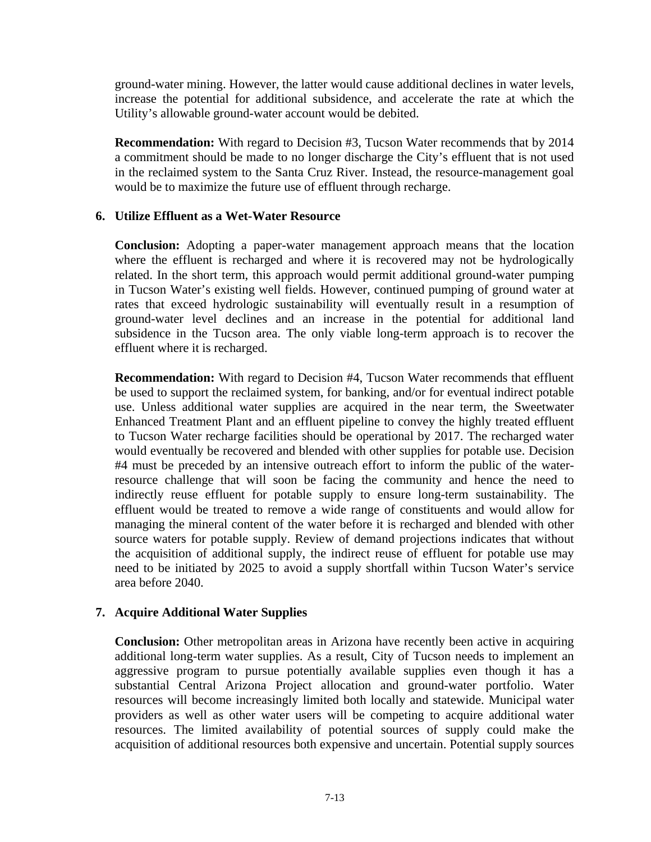ground-water mining. However, the latter would cause additional declines in water levels, increase the potential for additional subsidence, and accelerate the rate at which the Utility's allowable ground-water account would be debited.

**Recommendation:** With regard to Decision #3, Tucson Water recommends that by 2014 a commitment should be made to no longer discharge the City's effluent that is not used in the reclaimed system to the Santa Cruz River. Instead, the resource-management goal would be to maximize the future use of effluent through recharge.

#### **6. Utilize Effluent as a Wet-Water Resource**

**Conclusion:** Adopting a paper-water management approach means that the location where the effluent is recharged and where it is recovered may not be hydrologically related. In the short term, this approach would permit additional ground-water pumping in Tucson Water's existing well fields. However, continued pumping of ground water at rates that exceed hydrologic sustainability will eventually result in a resumption of ground-water level declines and an increase in the potential for additional land subsidence in the Tucson area. The only viable long-term approach is to recover the effluent where it is recharged.

**Recommendation:** With regard to Decision #4, Tucson Water recommends that effluent be used to support the reclaimed system, for banking, and/or for eventual indirect potable use. Unless additional water supplies are acquired in the near term, the Sweetwater Enhanced Treatment Plant and an effluent pipeline to convey the highly treated effluent to Tucson Water recharge facilities should be operational by 2017. The recharged water would eventually be recovered and blended with other supplies for potable use. Decision #4 must be preceded by an intensive outreach effort to inform the public of the waterresource challenge that will soon be facing the community and hence the need to indirectly reuse effluent for potable supply to ensure long-term sustainability. The effluent would be treated to remove a wide range of constituents and would allow for managing the mineral content of the water before it is recharged and blended with other source waters for potable supply. Review of demand projections indicates that without the acquisition of additional supply, the indirect reuse of effluent for potable use may need to be initiated by 2025 to avoid a supply shortfall within Tucson Water's service area before 2040.

### **7. Acquire Additional Water Supplies**

**Conclusion:** Other metropolitan areas in Arizona have recently been active in acquiring additional long-term water supplies. As a result, City of Tucson needs to implement an aggressive program to pursue potentially available supplies even though it has a substantial Central Arizona Project allocation and ground-water portfolio. Water resources will become increasingly limited both locally and statewide. Municipal water providers as well as other water users will be competing to acquire additional water resources. The limited availability of potential sources of supply could make the acquisition of additional resources both expensive and uncertain. Potential supply sources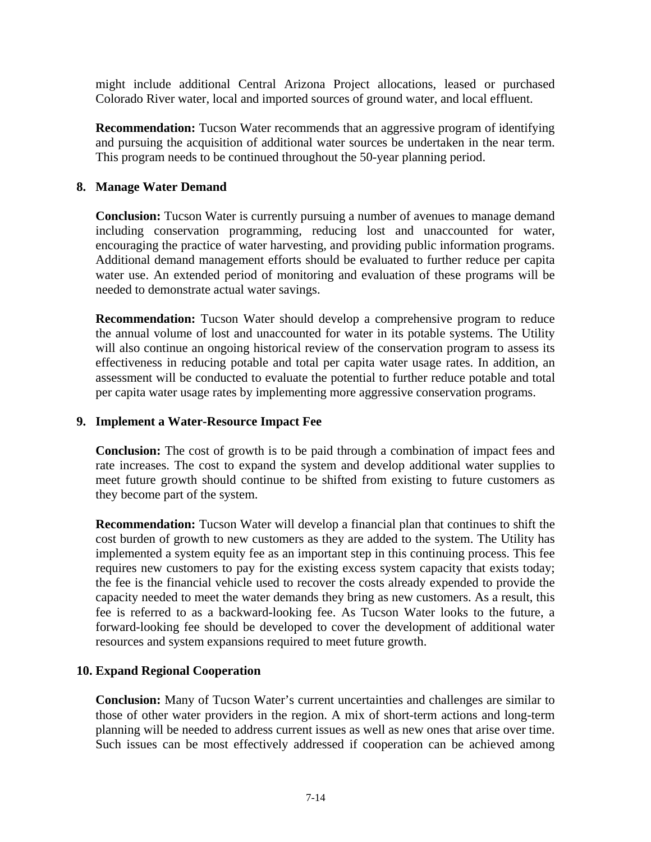might include additional Central Arizona Project allocations, leased or purchased Colorado River water, local and imported sources of ground water, and local effluent.

**Recommendation:** Tucson Water recommends that an aggressive program of identifying and pursuing the acquisition of additional water sources be undertaken in the near term. This program needs to be continued throughout the 50-year planning period.

#### **8. Manage Water Demand**

**Conclusion:** Tucson Water is currently pursuing a number of avenues to manage demand including conservation programming, reducing lost and unaccounted for water, encouraging the practice of water harvesting, and providing public information programs. Additional demand management efforts should be evaluated to further reduce per capita water use. An extended period of monitoring and evaluation of these programs will be needed to demonstrate actual water savings.

**Recommendation:** Tucson Water should develop a comprehensive program to reduce the annual volume of lost and unaccounted for water in its potable systems. The Utility will also continue an ongoing historical review of the conservation program to assess its effectiveness in reducing potable and total per capita water usage rates. In addition, an assessment will be conducted to evaluate the potential to further reduce potable and total per capita water usage rates by implementing more aggressive conservation programs.

#### **9. Implement a Water-Resource Impact Fee**

**Conclusion:** The cost of growth is to be paid through a combination of impact fees and rate increases. The cost to expand the system and develop additional water supplies to meet future growth should continue to be shifted from existing to future customers as they become part of the system.

**Recommendation:** Tucson Water will develop a financial plan that continues to shift the cost burden of growth to new customers as they are added to the system. The Utility has implemented a system equity fee as an important step in this continuing process. This fee requires new customers to pay for the existing excess system capacity that exists today; the fee is the financial vehicle used to recover the costs already expended to provide the capacity needed to meet the water demands they bring as new customers. As a result, this fee is referred to as a backward-looking fee. As Tucson Water looks to the future, a forward-looking fee should be developed to cover the development of additional water resources and system expansions required to meet future growth.

#### **10. Expand Regional Cooperation**

**Conclusion:** Many of Tucson Water's current uncertainties and challenges are similar to those of other water providers in the region. A mix of short-term actions and long-term planning will be needed to address current issues as well as new ones that arise over time. Such issues can be most effectively addressed if cooperation can be achieved among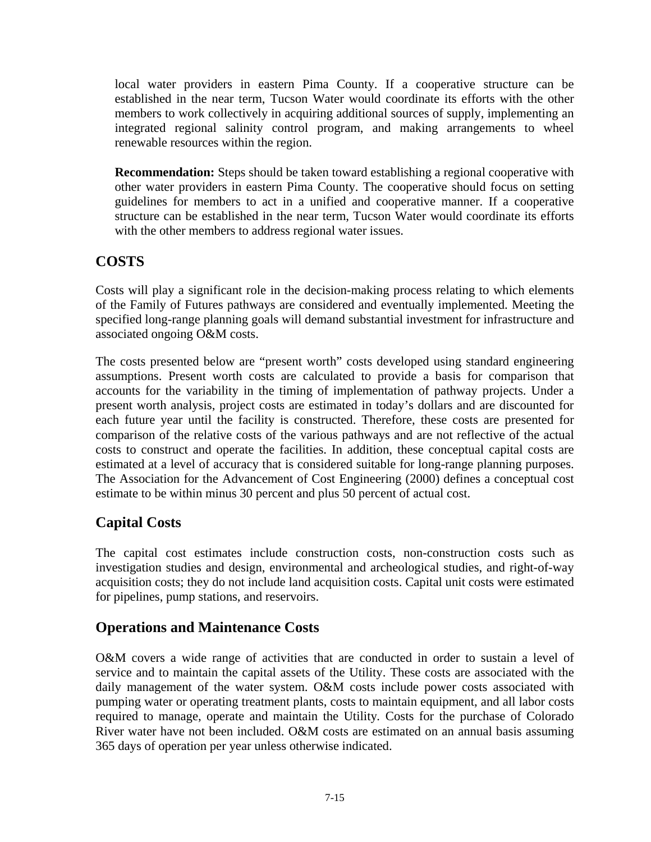local water providers in eastern Pima County. If a cooperative structure can be established in the near term, Tucson Water would coordinate its efforts with the other members to work collectively in acquiring additional sources of supply, implementing an integrated regional salinity control program, and making arrangements to wheel renewable resources within the region.

**Recommendation:** Steps should be taken toward establishing a regional cooperative with other water providers in eastern Pima County. The cooperative should focus on setting guidelines for members to act in a unified and cooperative manner. If a cooperative structure can be established in the near term, Tucson Water would coordinate its efforts with the other members to address regional water issues.

## **COSTS**

Costs will play a significant role in the decision-making process relating to which elements of the Family of Futures pathways are considered and eventually implemented. Meeting the specified long-range planning goals will demand substantial investment for infrastructure and associated ongoing O&M costs.

The costs presented below are "present worth" costs developed using standard engineering assumptions. Present worth costs are calculated to provide a basis for comparison that accounts for the variability in the timing of implementation of pathway projects. Under a present worth analysis, project costs are estimated in today's dollars and are discounted for each future year until the facility is constructed. Therefore, these costs are presented for comparison of the relative costs of the various pathways and are not reflective of the actual costs to construct and operate the facilities. In addition, these conceptual capital costs are estimated at a level of accuracy that is considered suitable for long-range planning purposes. The Association for the Advancement of Cost Engineering (2000) defines a conceptual cost estimate to be within minus 30 percent and plus 50 percent of actual cost.

## **Capital Costs**

The capital cost estimates include construction costs, non-construction costs such as investigation studies and design, environmental and archeological studies, and right-of-way acquisition costs; they do not include land acquisition costs. Capital unit costs were estimated for pipelines, pump stations, and reservoirs.

## **Operations and Maintenance Costs**

O&M covers a wide range of activities that are conducted in order to sustain a level of service and to maintain the capital assets of the Utility. These costs are associated with the daily management of the water system. O&M costs include power costs associated with pumping water or operating treatment plants, costs to maintain equipment, and all labor costs required to manage, operate and maintain the Utility*.* Costs for the purchase of Colorado River water have not been included. O&M costs are estimated on an annual basis assuming 365 days of operation per year unless otherwise indicated.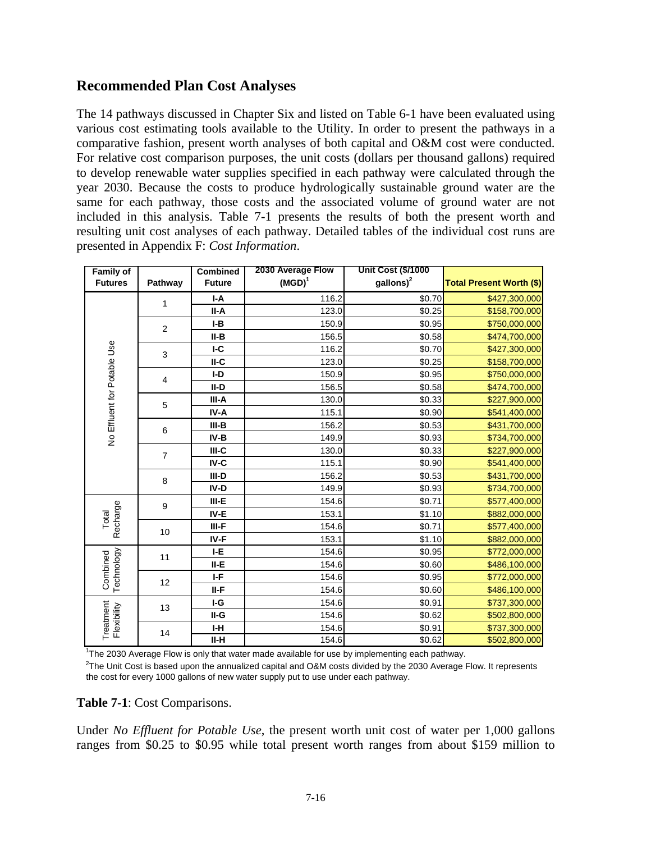### **Recommended Plan Cost Analyses**

The 14 pathways discussed in Chapter Six and listed on Table 6-1 have been evaluated using various cost estimating tools available to the Utility. In order to present the pathways in a comparative fashion, present worth analyses of both capital and O&M cost were conducted. For relative cost comparison purposes, the unit costs (dollars per thousand gallons) required to develop renewable water supplies specified in each pathway were calculated through the year 2030. Because the costs to produce hydrologically sustainable ground water are the same for each pathway, those costs and the associated volume of ground water are not included in this analysis. Table 7-1 presents the results of both the present worth and resulting unit cost analyses of each pathway. Detailed tables of the individual cost runs are presented in Appendix F: *Cost Information*.

| <b>Family of</b>            |                | <b>Combined</b> | 2030 Average Flow | <b>Unit Cost (\$/1000</b> |                                 |
|-----------------------------|----------------|-----------------|-------------------|---------------------------|---------------------------------|
| <b>Futures</b>              | Pathway        | <b>Future</b>   | $(MGD)^1$         | $\text{gallons}\right)^2$ | <b>Total Present Worth (\$)</b> |
| No Effluent for Potable Use | 1              | I-A             | 116.2             | \$0.70                    | \$427,300,000                   |
|                             |                | II-A            | 123.0             | \$0.25                    | \$158,700,000                   |
|                             | 2              | $I-B$           | 150.9             | \$0.95                    | \$750,000,000                   |
|                             |                | II-B            | 156.5             | \$0.58                    | \$474,700,000                   |
|                             | 3              | IC              | 116.2             | \$0.70                    | \$427,300,000                   |
|                             |                | $II-C$          | 123.0             | \$0.25                    | \$158,700,000                   |
|                             | 4              | $I-D$           | 150.9             | \$0.95                    | \$750,000,000                   |
|                             |                | II-D            | 156.5             | \$0.58                    | \$474,700,000                   |
|                             | 5              | III-A           | 130.0             | \$0.33                    | \$227,900,000                   |
|                             |                | IV-A            | 115.1             | \$0.90                    | \$541,400,000                   |
|                             | 6              | $III-B$         | 156.2             | \$0.53                    | \$431,700,000                   |
|                             |                | IV-B            | 149.9             | \$0.93                    | \$734,700,000                   |
|                             | $\overline{7}$ | $III-C$         | 130.0             | \$0.33                    | \$227,900,000                   |
|                             |                | IV-C            | 115.1             | \$0.90                    | \$541,400,000                   |
|                             | 8              | III-D           | 156.2             | \$0.53                    | \$431,700,000                   |
|                             |                | IV-D            | 149.9             | \$0.93                    | \$734,700,000                   |
| Recharge<br>Total           | 9              | $III-E$         | 154.6             | \$0.71                    | \$577,400,000                   |
|                             |                | IV-E            | 153.1             | \$1.10                    | \$882,000,000                   |
|                             | 10             | III-F           | 154.6             | \$0.71                    | \$577,400,000                   |
|                             |                | IV-F            | 153.1             | \$1.10                    | \$882,000,000                   |
| Technology<br>Combined      | 11             | I-E             | 154.6             | \$0.95                    | \$772,000,000                   |
|                             |                | II-E            | 154.6             | \$0.60                    | \$486,100,000                   |
|                             | 12             | I-F             | 154.6             | \$0.95                    | \$772,000,000                   |
|                             |                | II-F            | 154.6             | \$0.60                    | \$486,100,000                   |
| Treatment<br>Flexibility    | 13             | I-G             | 154.6             | \$0.91                    | \$737,300,000                   |
|                             |                | II-G            | 154.6             | \$0.62                    | \$502,800,000                   |
|                             | 14             | I-H             | 154.6             | \$0.91                    | \$737,300,000                   |
|                             |                | II-H            | 154.6             | \$0.62                    | \$502,800,000                   |

<sup>1</sup>The 2030 Average Flow is only that water made available for use by implementing each pathway.

 $^{2}$ The Unit Cost is based upon the annualized capital and O&M costs divided by the 2030 Average Flow. It represents the cost for every 1000 gallons of new water supply put to use under each pathway.

#### **Table 7-1**: Cost Comparisons.

Under *No Effluent for Potable Use*, the present worth unit cost of water per 1,000 gallons ranges from \$0.25 to \$0.95 while total present worth ranges from about \$159 million to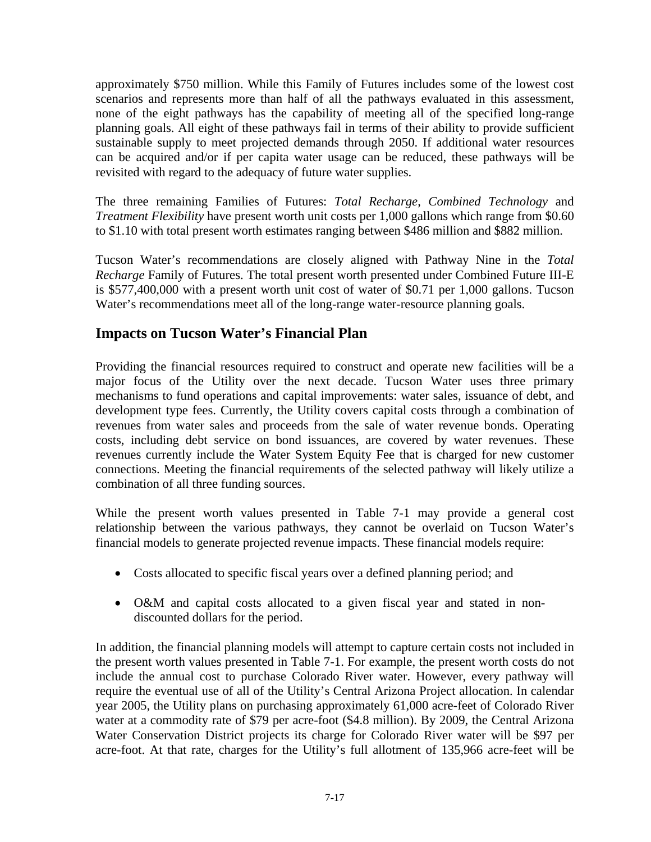approximately \$750 million. While this Family of Futures includes some of the lowest cost scenarios and represents more than half of all the pathways evaluated in this assessment, none of the eight pathways has the capability of meeting all of the specified long-range planning goals. All eight of these pathways fail in terms of their ability to provide sufficient sustainable supply to meet projected demands through 2050. If additional water resources can be acquired and/or if per capita water usage can be reduced, these pathways will be revisited with regard to the adequacy of future water supplies.

The three remaining Families of Futures: *Total Recharge*, *Combined Technology* and *Treatment Flexibility* have present worth unit costs per 1,000 gallons which range from \$0.60 to \$1.10 with total present worth estimates ranging between \$486 million and \$882 million.

Tucson Water's recommendations are closely aligned with Pathway Nine in the *Total Recharge* Family of Futures. The total present worth presented under Combined Future III-E is \$577,400,000 with a present worth unit cost of water of \$0.71 per 1,000 gallons. Tucson Water's recommendations meet all of the long-range water-resource planning goals.

### **Impacts on Tucson Water's Financial Plan**

Providing the financial resources required to construct and operate new facilities will be a major focus of the Utility over the next decade. Tucson Water uses three primary mechanisms to fund operations and capital improvements: water sales, issuance of debt, and development type fees. Currently, the Utility covers capital costs through a combination of revenues from water sales and proceeds from the sale of water revenue bonds. Operating costs, including debt service on bond issuances, are covered by water revenues. These revenues currently include the Water System Equity Fee that is charged for new customer connections. Meeting the financial requirements of the selected pathway will likely utilize a combination of all three funding sources.

While the present worth values presented in Table 7-1 may provide a general cost relationship between the various pathways, they cannot be overlaid on Tucson Water's financial models to generate projected revenue impacts. These financial models require:

- Costs allocated to specific fiscal years over a defined planning period; and
- O&M and capital costs allocated to a given fiscal year and stated in nondiscounted dollars for the period.

In addition, the financial planning models will attempt to capture certain costs not included in the present worth values presented in Table 7-1. For example, the present worth costs do not include the annual cost to purchase Colorado River water. However, every pathway will require the eventual use of all of the Utility's Central Arizona Project allocation. In calendar year 2005, the Utility plans on purchasing approximately 61,000 acre-feet of Colorado River water at a commodity rate of \$79 per acre-foot (\$4.8 million). By 2009, the Central Arizona Water Conservation District projects its charge for Colorado River water will be \$97 per acre-foot. At that rate, charges for the Utility's full allotment of 135,966 acre-feet will be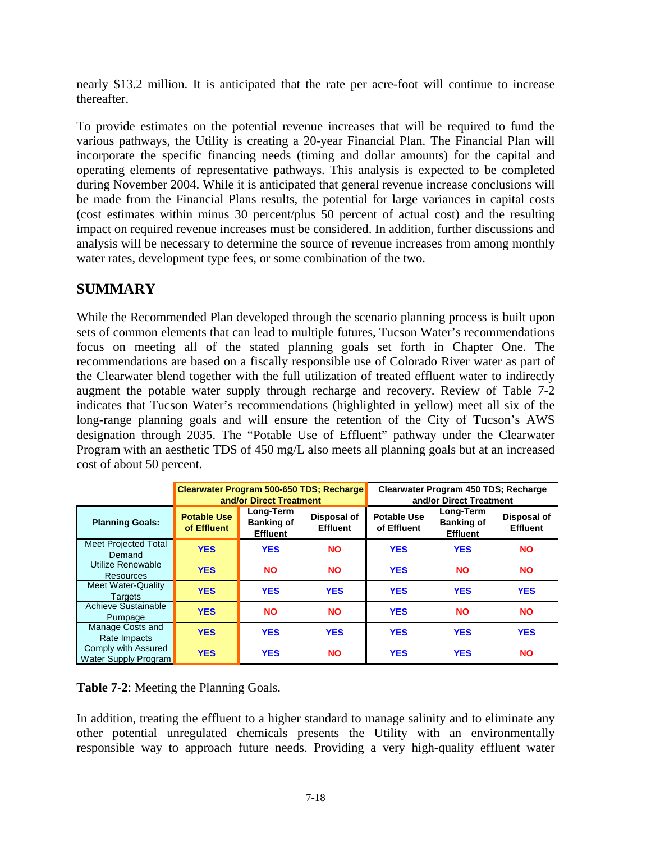nearly \$13.2 million. It is anticipated that the rate per acre-foot will continue to increase thereafter.

To provide estimates on the potential revenue increases that will be required to fund the various pathways, the Utility is creating a 20-year Financial Plan. The Financial Plan will incorporate the specific financing needs (timing and dollar amounts) for the capital and operating elements of representative pathways. This analysis is expected to be completed during November 2004. While it is anticipated that general revenue increase conclusions will be made from the Financial Plans results, the potential for large variances in capital costs (cost estimates within minus 30 percent/plus 50 percent of actual cost) and the resulting impact on required revenue increases must be considered. In addition, further discussions and analysis will be necessary to determine the source of revenue increases from among monthly water rates, development type fees, or some combination of the two.

## **SUMMARY**

While the Recommended Plan developed through the scenario planning process is built upon sets of common elements that can lead to multiple futures, Tucson Water's recommendations focus on meeting all of the stated planning goals set forth in Chapter One. The recommendations are based on a fiscally responsible use of Colorado River water as part of the Clearwater blend together with the full utilization of treated effluent water to indirectly augment the potable water supply through recharge and recovery. Review of Table 7-2 indicates that Tucson Water's recommendations (highlighted in yellow) meet all six of the long-range planning goals and will ensure the retention of the City of Tucson's AWS designation through 2035. The "Potable Use of Effluent" pathway under the Clearwater Program with an aesthetic TDS of 450 mg/L also meets all planning goals but at an increased cost of about 50 percent.

|                                             | Clearwater Program 500-650 TDS; Recharge<br>and/or Direct Treatment |                                                   |                                | Clearwater Program 450 TDS; Recharge<br>and/or Direct Treatment |                                                   |                                |
|---------------------------------------------|---------------------------------------------------------------------|---------------------------------------------------|--------------------------------|-----------------------------------------------------------------|---------------------------------------------------|--------------------------------|
| <b>Planning Goals:</b>                      | <b>Potable Use</b><br>of Effluent                                   | Long-Term<br><b>Banking of</b><br><b>Effluent</b> | Disposal of<br><b>Effluent</b> | <b>Potable Use</b><br>of Effluent                               | Long-Term<br><b>Banking of</b><br><b>Effluent</b> | Disposal of<br><b>Effluent</b> |
| Meet Projected Total<br>Demand              | <b>YES</b>                                                          | <b>YES</b>                                        | <b>NO</b>                      | <b>YES</b>                                                      | <b>YES</b>                                        | <b>NO</b>                      |
| Utilize Renewable<br>Resources              | <b>YES</b>                                                          | <b>NO</b>                                         | <b>NO</b>                      | <b>YES</b>                                                      | <b>NO</b>                                         | <b>NO</b>                      |
| <b>Meet Water-Quality</b><br><b>Targets</b> | <b>YES</b>                                                          | <b>YES</b>                                        | <b>YES</b>                     | <b>YES</b>                                                      | <b>YES</b>                                        | <b>YES</b>                     |
| Achieve Sustainable<br>Pumpage              | <b>YES</b>                                                          | <b>NO</b>                                         | <b>NO</b>                      | <b>YES</b>                                                      | <b>NO</b>                                         | <b>NO</b>                      |
| Manage Costs and<br>Rate Impacts            | <b>YES</b>                                                          | <b>YES</b>                                        | <b>YES</b>                     | <b>YES</b>                                                      | <b>YES</b>                                        | <b>YES</b>                     |
| Comply with Assured<br>Water Supply Program | <b>YES</b>                                                          | <b>YES</b>                                        | <b>NO</b>                      | <b>YES</b>                                                      | <b>YES</b>                                        | <b>NO</b>                      |

**Table 7-2**: Meeting the Planning Goals.

In addition, treating the effluent to a higher standard to manage salinity and to eliminate any other potential unregulated chemicals presents the Utility with an environmentally responsible way to approach future needs. Providing a very high-quality effluent water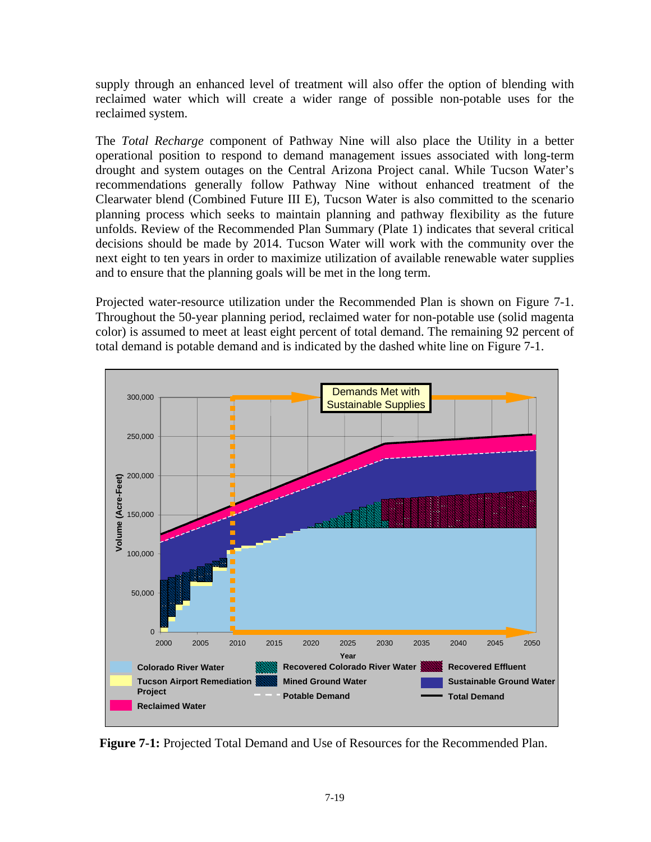supply through an enhanced level of treatment will also offer the option of blending with reclaimed water which will create a wider range of possible non-potable uses for the reclaimed system.

The *Total Recharge* component of Pathway Nine will also place the Utility in a better operational position to respond to demand management issues associated with long-term drought and system outages on the Central Arizona Project canal. While Tucson Water's recommendations generally follow Pathway Nine without enhanced treatment of the Clearwater blend (Combined Future III E), Tucson Water is also committed to the scenario planning process which seeks to maintain planning and pathway flexibility as the future unfolds. Review of the Recommended Plan Summary (Plate 1) indicates that several critical decisions should be made by 2014. Tucson Water will work with the community over the next eight to ten years in order to maximize utilization of available renewable water supplies and to ensure that the planning goals will be met in the long term.

Projected water-resource utilization under the Recommended Plan is shown on Figure 7-1. Throughout the 50-year planning period, reclaimed water for non-potable use (solid magenta color) is assumed to meet at least eight percent of total demand. The remaining 92 percent of total demand is potable demand and is indicated by the dashed white line on Figure 7-1.



**Figure 7-1:** Projected Total Demand and Use of Resources for the Recommended Plan.